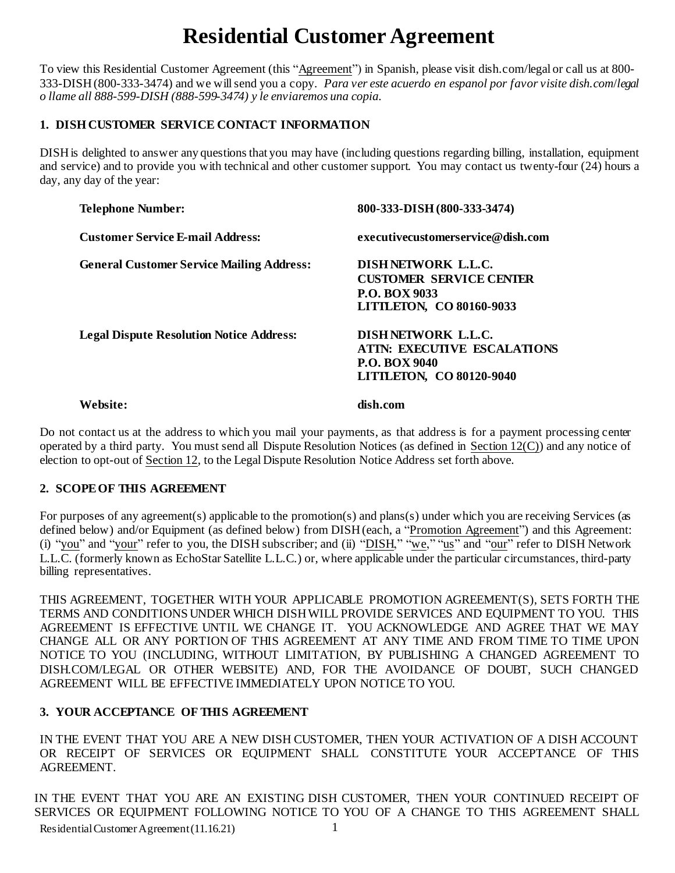# **Residential Customer Agreement**

To view this Residential Customer Agreement (this "Agreement") in Spanish, please visit [dish.com/](http://www.dish.com/)legal or call us at 800- 333-DISH(800-333-3474) and we willsend you a copy. *Para ver este acuerdo en espanol por favor visite [dish.com](http://www.dish.com/)*/*legal o llame all 888-599-DISH (888-599-3474) y le enviaremos una copia.*

# **1. DISHCUSTOMER SERVICE CONTACT INFORMATION**

DISH is delighted to answer any questions that you may have (including questions regarding billing, installation, equipment and service) and to provide you with technical and other customer support. You may contact us twenty-four (24) hours a day, any day of the year:

| <b>Telephone Number:</b>                         | 800-333-DISH (800-333-3474)                                                                                                |
|--------------------------------------------------|----------------------------------------------------------------------------------------------------------------------------|
| <b>Customer Service E-mail Address:</b>          | executivecustomerservice@dish.com                                                                                          |
| <b>General Customer Service Mailing Address:</b> | DISH NETWORK L.L.C.<br><b>CUSTOMER SERVICE CENTER</b><br><b>P.O. BOX 9033</b><br>LITTLETON, CO 80160-9033                  |
| <b>Legal Dispute Resolution Notice Address:</b>  | <b>DISHNETWORK L.L.C.</b><br><b>ATIN: EXECUTIVE ESCALATIONS</b><br><b>P.O. BOX 9040</b><br><b>LITTLETON, CO 80120-9040</b> |

**Website: dish.com**

Do not contact us at the address to which you mail your payments, as that address is for a payment processing center operated by a third party. You must send all Dispute Resolution Notices (as defined in Section 12(C)) and any notice of election to opt-out of Section 12, to the Legal Dispute Resolution Notice Address set forth above.

# **2. SCOPEOF THIS AGREEMENT**

For purposes of any agreement(s) applicable to the promotion(s) and plans(s) under which you are receiving Services (as defined below) and/or Equipment (as defined below) from DISH(each, a "Promotion Agreement") and this Agreement: (i) "you" and "your" refer to you, the DISH subscriber; and (ii) "DISH," "we," "us" and "our" refer to DISH Network L.L.C. (formerly known as EchoStar Satellite L.L.C.) or, where applicable under the particular circumstances, third-party billing representatives.

THIS AGREEMENT, TOGETHER WITH YOUR APPLICABLE PROMOTION AGREEMENT(S), SETS FORTH THE TERMS AND CONDITIONS UNDER WHICH DISHWILL PROVIDE SERVICES AND EQUIPMENT TO YOU. THIS AGREEMENT IS EFFECTIVE UNTIL WE CHANGE IT. YOU ACKNOWLEDGE AND AGREE THAT WE MAY CHANGE ALL OR ANY PORTION OF THIS AGREEMENT AT ANY TIME AND FROM TIME TO TIME UPON NOTICE TO YOU (INCLUDING, WITHOUT LIMITATION, BY PUBLISHING A CHANGED AGREEMENT TO DISH.COM/LEGAL OR OTHER WEBSITE) AND, FOR THE AVOIDANCE OF DOUBT, SUCH CHANGED AGREEMENT WILL BE EFFECTIVE IMMEDIATELY UPON NOTICE TO YOU.

# **3. YOUR ACCEPTANCE OF THIS AGREEMENT**

IN THE EVENT THAT YOU ARE A NEW DISH CUSTOMER, THEN YOUR ACTIVATION OF A DISH ACCOUNT OR RECEIPT OF SERVICES OR EQUIPMENT SHALL CONSTITUTE YOUR ACCEPTANCE OF THIS AGREEMENT.

Residential Customer Agreement (11.16.21) 1 IN THE EVENT THAT YOU ARE AN EXISTING DISH CUSTOMER, THEN YOUR CONTINUED RECEIPT OF SERVICES OR EQUIPMENT FOLLOWING NOTICE TO YOU OF A CHANGE TO THIS AGREEMENT SHALL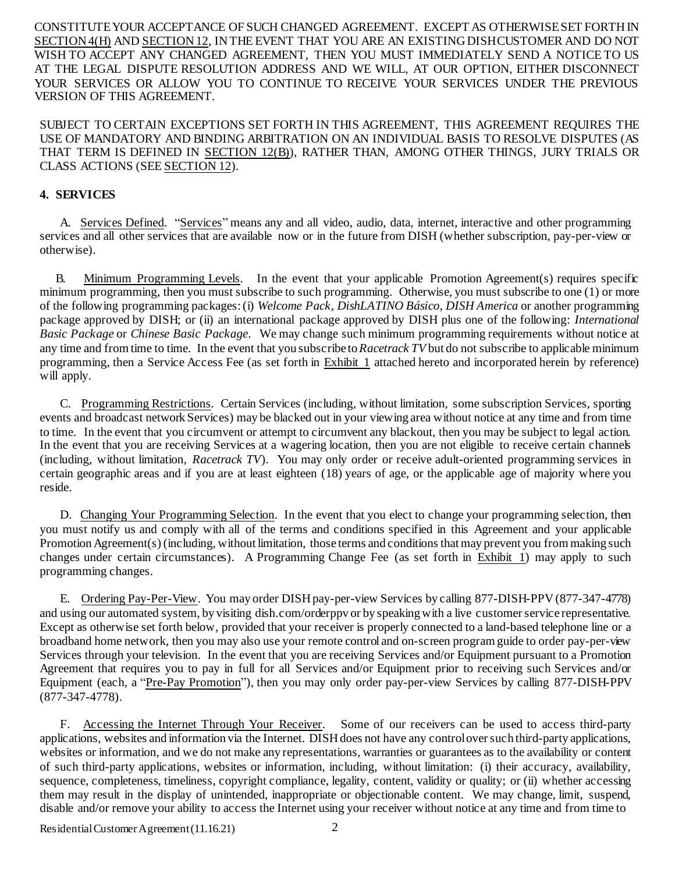CONSTITUTEYOUR ACCEPTANCE OF SUCH CHANGED AGREEMENT. EXCEPT AS OTHERWISESET FORTH IN SECTION 4(H) AND SECTION 12, IN THE EVENT THAT YOU ARE AN EXISTING DISHCUSTOMER AND DO NOT WISH TO ACCEPT ANY CHANGED AGREEMENT, THEN YOU MUST IMMEDIATELY SEND A NOTICE TO US AT THE LEGAL DISPUTE RESOLUTION ADDRESS AND WE WILL, AT OUR OPTION, EITHER DISCONNECT YOUR SERVICES OR ALLOW YOU TO CONTINUE TO RECEIVE YOUR SERVICES UNDER THE PREVIOUS VERSION OF THIS AGREEMENT.

SUBJECT TO CERTAIN EXCEPTIONS SET FORTH IN THIS AGREEMENT, THIS AGREEMENT REQUIRES THE USE OF MANDATORY AND BINDING ARBITRATION ON AN INDIVIDUAL BASIS TO RESOLVE DISPUTES (AS THAT TERM IS DEFINED IN SECTION 12(B)), RATHER THAN, AMONG OTHER THINGS, JURY TRIALS OR CLASS ACTIONS (SEE SECTION 12).

## **4. SERVICES**

A. Services Defined. "Services" means any and all video, audio, data, internet, interactive and other programming services and all other services that are available now or in the future from DISH (whether subscription, pay-per-view or otherwise).

B. Minimum Programming Levels. In the event that your applicable Promotion Agreement(s) requires specific minimum programming, then you must subscribe to such programming. Otherwise, you must subscribe to one (1) or more of the following programming packages:(i) *Welcome Pack, DishLATINO Básico, DISH America* or another programming package approved by DISH; or (ii) an international package approved by DISH plus one of the following: *International Basic Package* or *Chinese Basic Package*. We may change such minimum programming requirements without notice at any time and fromtime to time. In the event that you subscribe to*Racetrack TV* but do not subscribe to applicable minimum programming, then a Service Access Fee (as set forth in Exhibit 1 attached hereto and incorporated herein by reference) will apply.

C. Programming Restrictions. Certain Services (including, without limitation, some subscription Services, sporting events and broadcast network Services) may be blacked out in your viewing area without notice at any time and from time to time. In the event that you circumvent or attempt to circumvent any blackout, then you may be subject to legal action. In the event that you are receiving Services at a wagering location, then you are not eligible to receive certain channels (including, without limitation, *Racetrack TV*). You may only order or receive adult-oriented programming services in certain geographic areas and if you are at least eighteen (18) years of age, or the applicable age of majority where you reside.

D. Changing Your Programming Selection. In the event that you elect to change your programming selection, then you must notify us and comply with all of the terms and conditions specified in this Agreement and your applicable Promotion Agreement(s) (including, without limitation, those terms and conditions that may prevent you from making such changes under certain circumstances). A Programming Change Fee (as set forth in Exhibit 1) may apply to such programming changes.

E. Ordering Pay-Per-View. You may order DISH pay-per-view Services by calling 877-DISH-PPV (877-347-4778) and using our automated system, by visiting [dish.com](http://www.dish.com/)/orderppv or by speaking with a live customer service representative. Except as otherwise set forth below, provided that your receiver is properly connected to a land-based telephone line or a broadband home network, then you may also use your remote control and on-screen programguide to order pay-per-view Services through your television. In the event that you are receiving Services and/or Equipment pursuant to a Promotion Agreement that requires you to pay in full for all Services and/or Equipment prior to receiving such Services and/or Equipment (each, a "Pre-Pay Promotion"), then you may only order pay-per-view Services by calling 877-DISH-PPV (877-347-4778).

F. Accessing the Internet Through Your Receiver. Some of our receivers can be used to access third-party applications, websites and information via the Internet. DISHdoes not have any controloversuch third-party applications, websites or information, and we do not make any representations, warranties or guarantees as to the availability or content of such third-party applications, websites or information, including, without limitation: (i) their accuracy, availability, sequence, completeness, timeliness, copyright compliance, legality, content, validity or quality; or (ii) whether accessing them may result in the display of unintended, inappropriate or objectionable content. We may change, limit, suspend, disable and/or remove your ability to access the Internet using your receiver without notice at any time and from time to

Residential Customer Agreement (11.16.21) 2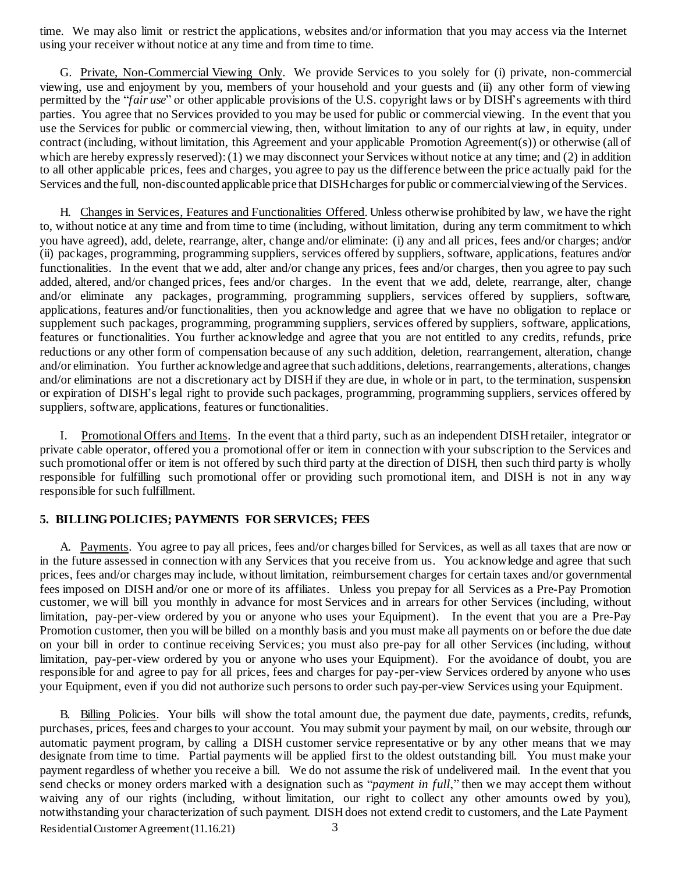time. We may also limit or restrict the applications, websites and/or information that you may access via the Internet using your receiver without notice at any time and from time to time.

G. Private, Non-Commercial Viewing Only. We provide Services to you solely for (i) private, non-commercial viewing, use and enjoyment by you, members of your household and your guests and (ii) any other form of viewing permitted by the "*fair use*" or other applicable provisions of the U.S. copyright laws or by DISH's agreements with third parties. You agree that no Services provided to you may be used for public or commercial viewing. In the event that you use the Services for public or commercial viewing, then, without limitation to any of our rights at law, in equity, under contract (including, without limitation, this Agreement and your applicable Promotion Agreement(s)) or otherwise (all of which are hereby expressly reserved): (1) we may disconnect your Services without notice at any time; and (2) in addition to all other applicable prices, fees and charges, you agree to pay us the difference between the price actually paid for the Services and the full, non-discounted applicable price that DISH charges for public or commercial viewing of the Services.

H. Changes in Services, Features and Functionalities Offered. Unless otherwise prohibited by law, we have the right to, without notice at any time and from time to time (including, without limitation, during any term commitment to which you have agreed), add, delete, rearrange, alter, change and/or eliminate: (i) any and all prices, fees and/or charges; and/or (ii) packages, programming, programming suppliers, services offered by suppliers, software, applications, features and/or functionalities. In the event that we add, alter and/or change any prices, fees and/or charges, then you agree to pay such added, altered, and/or changed prices, fees and/or charges. In the event that we add, delete, rearrange, alter, change and/or eliminate any packages, programming, programming suppliers, services offered by suppliers, software, applications, features and/or functionalities, then you acknowledge and agree that we have no obligation to replace or supplement such packages, programming, programming suppliers, services offered by suppliers, software, applications, features or functionalities. You further acknowledge and agree that you are not entitled to any credits, refunds, price reductions or any other form of compensation because of any such addition, deletion, rearrangement, alteration, change and/or elimination. You further acknowledge and agree that such additions, deletions, rearrangements, alterations, changes and/or eliminations are not a discretionary act by DISHif they are due, in whole or in part, to the termination, suspension or expiration of DISH's legal right to provide such packages, programming, programming suppliers, services offered by suppliers, software, applications, features or functionalities.

I. Promotional Offers and Items. In the event that a third party, such as an independent DISHretailer, integrator or private cable operator, offered you a promotional offer or item in connection with your subscription to the Services and such promotional offer or item is not offered by such third party at the direction of DISH, then such third party is wholly responsible for fulfilling such promotional offer or providing such promotional item, and DISH is not in any way responsible for such fulfillment.

### **5. BILLINGPOLICIES; PAYMENTS FOR SERVICES; FEES**

A. Payments. You agree to pay all prices, fees and/or charges billed for Services, as well as all taxes that are now or in the future assessed in connection with any Services that you receive from us. You acknowledge and agree that such prices, fees and/or charges may include, without limitation, reimbursement charges for certain taxes and/or governmental fees imposed on DISH and/or one or more of its affiliates. Unless you prepay for all Services as a Pre-Pay Promotion customer, we will bill you monthly in advance for most Services and in arrears for other Services (including, without limitation, pay-per-view ordered by you or anyone who uses your Equipment). In the event that you are a Pre-Pay Promotion customer, then you will be billed on a monthly basis and you must make all payments on or before the due date on your bill in order to continue receiving Services; you must also pre-pay for all other Services (including, without limitation, pay-per-view ordered by you or anyone who uses your Equipment). For the avoidance of doubt, you are responsible for and agree to pay for all prices, fees and charges for pay-per-view Services ordered by anyone who uses your Equipment, even if you did not authorize such personsto order such pay-per-view Services using your Equipment.

Residential Customer Agreement (11.16.21) 3 B. Billing Policies. Your bills will show the total amount due, the payment due date, payments, credits, refunds, purchases, prices, fees and chargesto your account. You may submit your payment by mail, on our website, through our automatic payment program, by calling a DISH customer service representative or by any other means that we may designate from time to time. Partial payments will be applied first to the oldest outstanding bill. You must make your payment regardless of whether you receive a bill. We do not assume the risk of undelivered mail. In the event that you send checks or money orders marked with a designation such as "*payment in full*," then we may accept them without waiving any of our rights (including, without limitation, our right to collect any other amounts owed by you), notwithstanding your characterization of such payment. DISH does not extend credit to customers, and the Late Payment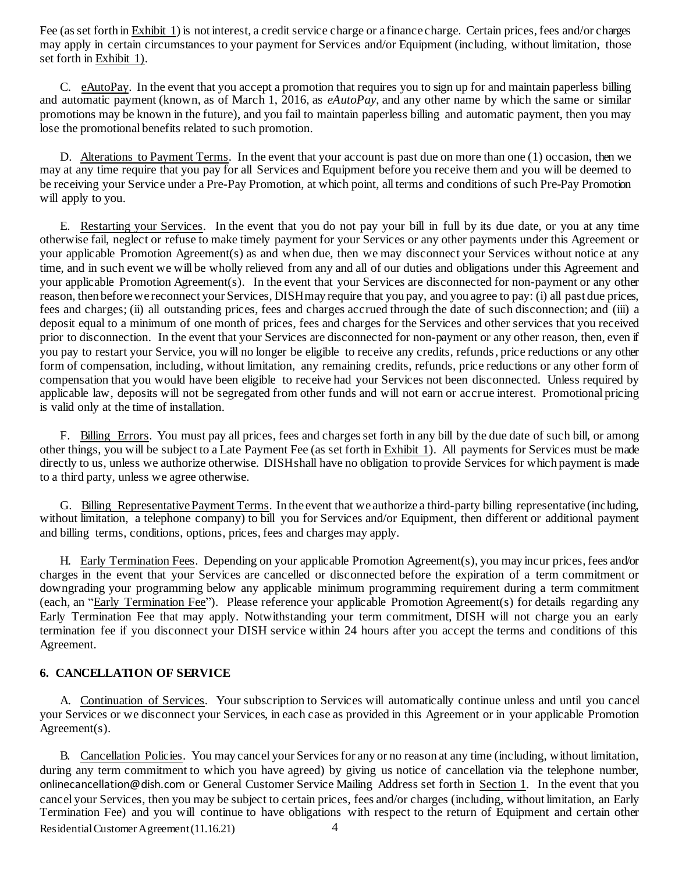Fee (as set forth in Exhibit 1) is not interest, a credit service charge or a finance charge. Certain prices, fees and/or charges may apply in certain circumstances to your payment for Services and/or Equipment (including, without limitation, those set forth in Exhibit 1).

C. eAutoPay. In the event that you accept a promotion that requires you to sign up for and maintain paperless billing and automatic payment (known, as of March 1, 2016, as *eAutoPay*, and any other name by which the same or similar promotions may be known in the future), and you fail to maintain paperless billing and automatic payment, then you may lose the promotional benefits related to such promotion.

D. Alterations to Payment Terms. In the event that your account is past due on more than one (1) occasion, then we may at any time require that you pay for all Services and Equipment before you receive them and you will be deemed to be receiving your Service under a Pre-Pay Promotion, at which point, all terms and conditions of such Pre-Pay Promotion will apply to you.

E. Restarting your Services. In the event that you do not pay your bill in full by its due date, or you at any time otherwise fail, neglect or refuse to make timely payment for your Services or any other payments under this Agreement or your applicable Promotion Agreement(s) as and when due, then we may disconnect your Services without notice at any time, and in such event we will be wholly relieved from any and all of our duties and obligations under this Agreement and your applicable Promotion Agreement(s). In the event that your Services are disconnected for non-payment or any other reason, then beforewe reconnect your Services, DISHmay require that you pay, and you agree to pay: (i) all past due prices, fees and charges; (ii) all outstanding prices, fees and charges accrued through the date of such disconnection; and (iii) a deposit equal to a minimum of one month of prices, fees and charges for the Services and other services that you received prior to disconnection. In the event that your Services are disconnected for non-payment or any other reason, then, even if you pay to restart your Service, you will no longer be eligible to receive any credits, refunds, price reductions or any other form of compensation, including, without limitation, any remaining credits, refunds, price reductions or any other form of compensation that you would have been eligible to receive had your Services not been disconnected. Unless required by applicable law, deposits will not be segregated from other funds and will not earn or accrue interest. Promotional pricing is valid only at the time of installation.

F. Billing Errors. You must pay all prices, fees and chargesset forth in any bill by the due date of such bill, or among other things, you will be subject to a Late Payment Fee (as set forth in Exhibit 1). All payments for Services must be made directly to us, unless we authorize otherwise. DISHshall have no obligation to provide Services for which payment is made to a third party, unless we agree otherwise.

G. Billing Representative Payment Terms. In the event that we authorize a third-party billing representative (including, without limitation, a telephone company) to bill you for Services and/or Equipment, then different or additional payment and billing terms, conditions, options, prices, fees and charges may apply.

H. Early Termination Fees. Depending on your applicable Promotion Agreement(s), you may incur prices, fees and/or charges in the event that your Services are cancelled or disconnected before the expiration of a term commitment or downgrading your programming below any applicable minimum programming requirement during a term commitment (each, an "Early Termination Fee"). Please reference your applicable Promotion Agreement(s) for details regarding any Early Termination Fee that may apply. Notwithstanding your term commitment, DISH will not charge you an early termination fee if you disconnect your DISH service within 24 hours after you accept the terms and conditions of this Agreement.

#### **6. CANCELLATION OF SERVICE**

A. Continuation of Services. Your subscription to Services will automatically continue unless and until you cancel your Services or we disconnect your Services, in each case as provided in this Agreement or in your applicable Promotion Agreement(s).

Residential Customer Agreement (11.16.21) 4 B. Cancellation Policies. You may cancel your Services for any or no reason at any time (including, without limitation, during any term commitment to which you have agreed) by giving us notice of cancellation via the telephone number, onlinecancellation@dish.com or General Customer Service Mailing Address set forth in Section 1. In the event that you cancel your Services, then you may be subject to certain prices, fees and/or charges (including, without limitation, an Early Termination Fee) and you will continue to have obligations with respect to the return of Equipment and certain other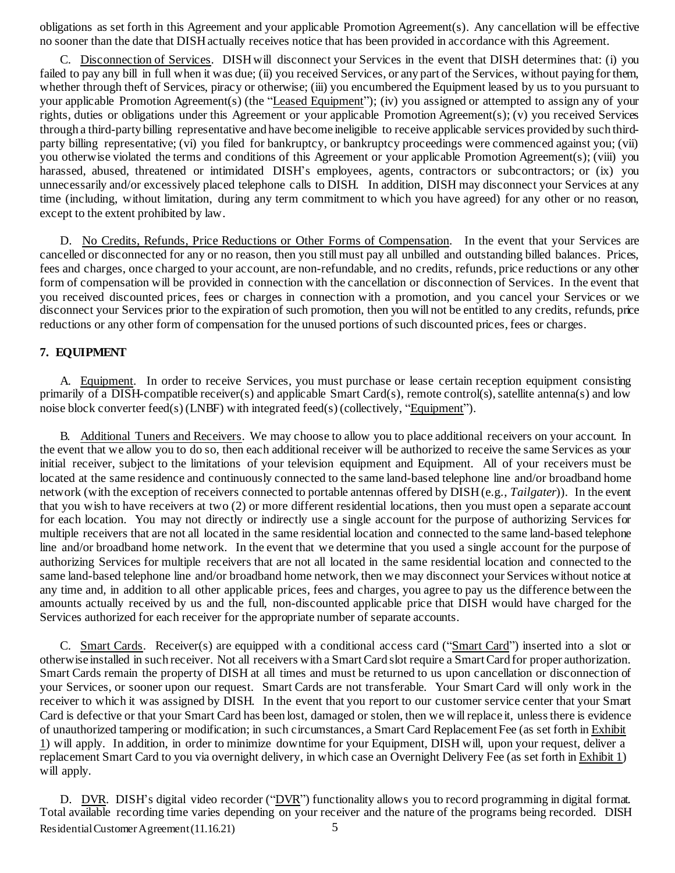obligations as set forth in this Agreement and your applicable Promotion Agreement(s). Any cancellation will be effective no sooner than the date that DISHactually receives notice that has been provided in accordance with this Agreement.

C. Disconnection of Services. DISHwill disconnect your Services in the event that DISH determines that: (i) you failed to pay any bill in full when it was due; (ii) you received Services, or any part of the Services, without paying for them, whether through theft of Services, piracy or otherwise; (iii) you encumbered the Equipment leased by us to you pursuant to your applicable Promotion Agreement(s) (the "Leased Equipment"); (iv) you assigned or attempted to assign any of your rights, duties or obligations under this Agreement or your applicable Promotion Agreement(s); (v) you received Services through a third-party billing representative and have become ineligible to receive applicable services provided by such thirdparty billing representative; (vi) you filed for bankruptcy, or bankruptcy proceedings were commenced against you; (vii) you otherwise violated the terms and conditions of this Agreement or your applicable Promotion Agreement(s); (viii) you harassed, abused, threatened or intimidated DISH's employees, agents, contractors or subcontractors; or (ix) you unnecessarily and/or excessively placed telephone calls to DISH. In addition, DISH may disconnect your Services at any time (including, without limitation, during any term commitment to which you have agreed) for any other or no reason, except to the extent prohibited by law.

D. No Credits, Refunds, Price Reductions or Other Forms of Compensation. In the event that your Services are cancelled or disconnected for any or no reason, then you stillmust pay all unbilled and outstanding billed balances. Prices, fees and charges, once charged to your account, are non-refundable, and no credits, refunds, price reductions or any other form of compensation will be provided in connection with the cancellation or disconnection of Services. In the event that you received discounted prices, fees or charges in connection with a promotion, and you cancel your Services or we disconnect your Services prior to the expiration of such promotion, then you will not be entitled to any credits, refunds, price reductions or any other form of compensation for the unused portions of such discounted prices, fees or charges.

#### **7. EQUIPMENT**

A. Equipment. In order to receive Services, you must purchase or lease certain reception equipment consisting primarily of a DISH-compatible receiver(s) and applicable Smart Card(s), remote control(s), satellite antenna(s) and low noise block converter feed(s) (LNBF) with integrated feed(s) (collectively, "Equipment").

B. Additional Tuners and Receivers. We may choose to allow you to place additional receivers on your account. In the event that we allow you to do so, then each additional receiver will be authorized to receive the same Services as your initial receiver, subject to the limitations of your television equipment and Equipment. All of your receivers must be located at the same residence and continuously connected to the same land-based telephone line and/or broadband home network (with the exception of receivers connected to portable antennas offered by DISH(e.g., *Tailgater*)). In the event that you wish to have receivers at two (2) or more different residential locations, then you must open a separate account for each location. You may not directly or indirectly use a single account for the purpose of authorizing Services for multiple receivers that are not all located in the same residential location and connected to the same land-based telephone line and/or broadband home network. In the event that we determine that you used a single account for the purpose of authorizing Services for multiple receivers that are not all located in the same residential location and connected to the same land-based telephone line and/or broadband home network, then we may disconnect your Services without notice at any time and, in addition to all other applicable prices, fees and charges, you agree to pay us the difference between the amounts actually received by us and the full, non-discounted applicable price that DISH would have charged for the Services authorized for each receiver for the appropriate number of separate accounts.

C. Smart Cards. Receiver(s) are equipped with a conditional access card ("Smart Card") inserted into a slot or otherwise installed in such receiver. Not all receivers with a SmartCard slot require a SmartCard for proper authorization. Smart Cards remain the property of DISH at all times and must be returned to us upon cancellation or disconnection of your Services, or sooner upon our request. Smart Cards are not transferable. Your Smart Card will only work in the receiver to which it was assigned by DISH. In the event that you report to our customer service center that your Smart Card is defective or that your Smart Card has been lost, damaged or stolen, then we will replace it, unless there is evidence of unauthorized tampering or modification; in such circumstances, a Smart Card Replacement Fee (as set forth in Exhibit 1) will apply. In addition, in order to minimize downtime for your Equipment, DISH will, upon your request, deliver a replacement Smart Card to you via overnight delivery, in which case an Overnight Delivery Fee (as set forth in Exhibit 1) will apply.

Residential Customer Agreement (11.16.21) 5 D. DVR. DISH's digital video recorder ("DVR") functionality allows you to record programming in digital format. Total available recording time varies depending on your receiver and the nature of the programs being recorded. DISH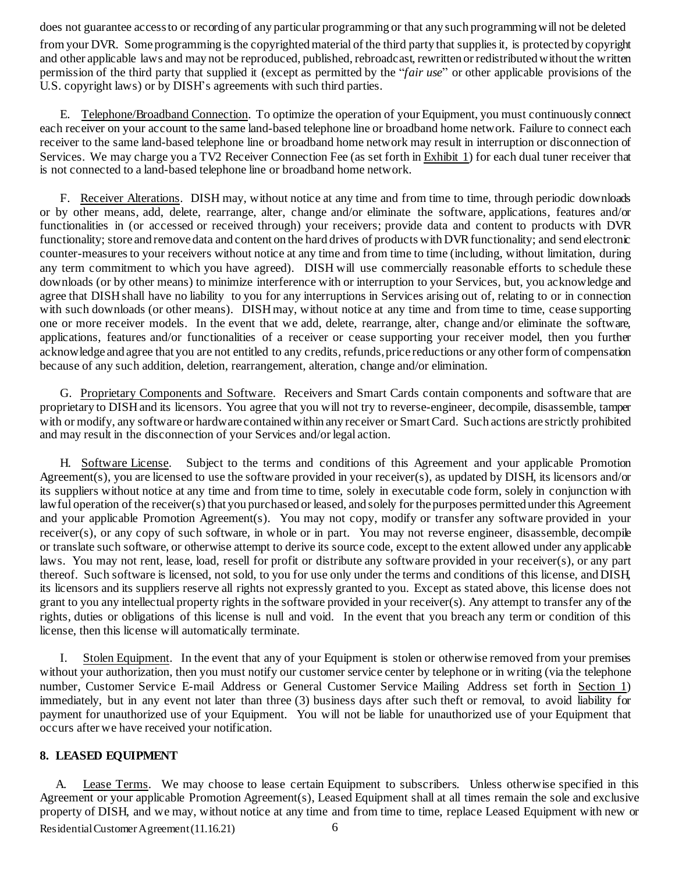does not guarantee accessto or recording of any particular programming or that any such programmingwill not be deleted

fromyour DVR. Some programming isthe copyrightedmaterial of the third party that suppliesit, is protected by copyright and other applicable laws and may not be reproduced, published, rebroadcast, rewritten or redistributedwithout the written permission of the third party that supplied it (except as permitted by the "*fair use*" or other applicable provisions of the U.S. copyright laws) or by DISH's agreements with such third parties.

E. Telephone/Broadband Connection. To optimize the operation of your Equipment, you must continuously connect each receiver on your account to the same land-based telephone line or broadband home network. Failure to connect each receiver to the same land-based telephone line or broadband home network may result in interruption or disconnection of Services. We may charge you a TV2 Receiver Connection Fee (as set forth in Exhibit 1) for each dual tuner receiver that is not connected to a land-based telephone line or broadband home network.

F. Receiver Alterations. DISH may, without notice at any time and from time to time, through periodic downloads or by other means, add, delete, rearrange, alter, change and/or eliminate the software, applications, features and/or functionalities in (or accessed or received through) your receivers; provide data and content to products with DVR functionality; store and remove data and content on the hard drives of products with DVR functionality; and send electronic counter-measures to your receivers without notice at any time and from time to time (including, without limitation, during any term commitment to which you have agreed). DISH will use commercially reasonable efforts to schedule these downloads (or by other means) to minimize interference with or interruption to your Services, but, you acknowledge and agree that DISH shall have no liability to you for any interruptions in Services arising out of, relating to or in connection with such downloads (or other means). DISH may, without notice at any time and from time to time, cease supporting one or more receiver models. In the event that we add, delete, rearrange, alter, change and/or eliminate the software, applications, features and/or functionalities of a receiver or cease supporting your receiver model, then you further acknowledge and agree that you are not entitled to any credits, refunds,price reductions or any other form of compensation because of any such addition, deletion, rearrangement, alteration, change and/or elimination.

G. Proprietary Components and Software. Receivers and Smart Cards contain components and software that are proprietary to DISHand its licensors. You agree that you will not try to reverse-engineer, decompile, disassemble, tamper with or modify, any software or hardware contained within any receiver or Smart Card. Such actions are strictly prohibited and may result in the disconnection of your Services and/or legal action.

H. Software License. Subject to the terms and conditions of this Agreement and your applicable Promotion Agreement(s), you are licensed to use the software provided in your receiver(s), as updated by DISH, its licensors and/or its suppliers without notice at any time and from time to time, solely in executable code form, solely in conjunction with lawful operation of the receiver(s) that you purchased or leased, and solely for the purposes permitted under this Agreement and your applicable Promotion Agreement(s). You may not copy, modify or transfer any software provided in your receiver(s), or any copy of such software, in whole or in part. You may not reverse engineer, disassemble, decompile or translate such software, or otherwise attempt to derive its source code, except to the extent allowed under any applicable laws. You may not rent, lease, load, resell for profit or distribute any software provided in your receiver(s), or any part thereof. Such software is licensed, not sold, to you for use only under the terms and conditions of this license, and DISH, its licensors and its suppliers reserve all rights not expressly granted to you. Except as stated above, this license does not grant to you any intellectual property rights in the software provided in your receiver(s). Any attempt to transfer any of the rights, duties or obligations of this license is null and void. In the event that you breach any term or condition of this license, then this license will automatically terminate.

I. Stolen Equipment. In the event that any of your Equipment is stolen or otherwise removed from your premises without your authorization, then you must notify our customer service center by telephone or in writing (via the telephone number, Customer Service E-mail Address or General Customer Service Mailing Address set forth in Section 1) immediately, but in any event not later than three (3) business days after such theft or removal, to avoid liability for payment for unauthorized use of your Equipment. You will not be liable for unauthorized use of your Equipment that occurs after we have received your notification.

#### **8. LEASED EQUIPMENT**

Residential Customer Agreement (11.16.21) 6 A. Lease Terms. We may choose to lease certain Equipment to subscribers. Unless otherwise specified in this Agreement or your applicable Promotion Agreement(s), Leased Equipment shall at all times remain the sole and exclusive property of DISH, and we may, without notice at any time and from time to time, replace Leased Equipment with new or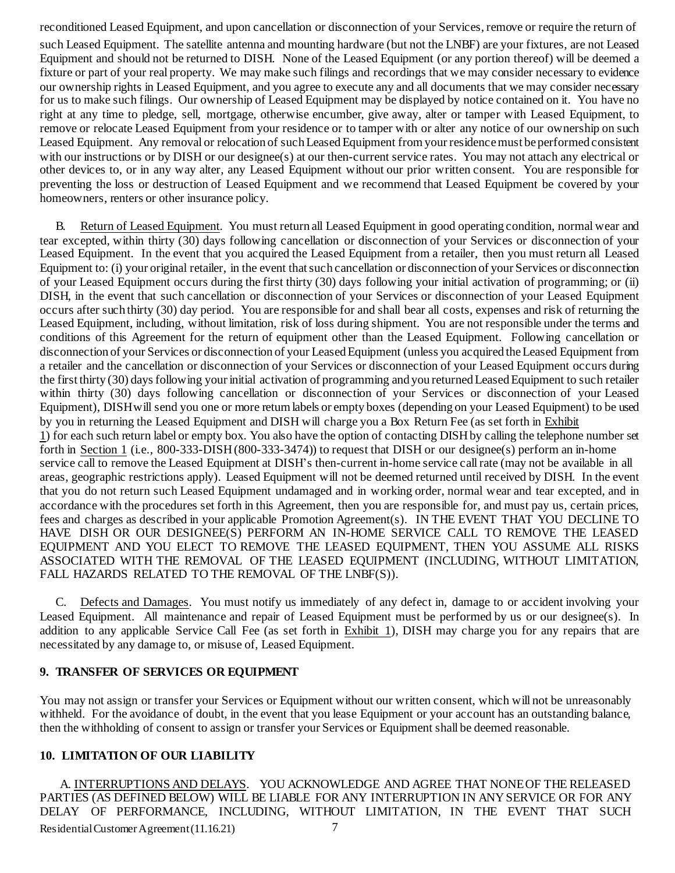reconditioned Leased Equipment, and upon cancellation or disconnection of your Services, remove or require the return of

such Leased Equipment. The satellite antenna and mounting hardware (but not the LNBF) are your fixtures, are not Leased Equipment and should not be returned to DISH. None of the Leased Equipment (or any portion thereof) will be deemed a fixture or part of your real property. We may make such filings and recordings that we may consider necessary to evidence our ownership rights in Leased Equipment, and you agree to execute any and all documents that we may consider necessary for us to make such filings. Our ownership of Leased Equipment may be displayed by notice contained on it. You have no right at any time to pledge, sell, mortgage, otherwise encumber, give away, alter or tamper with Leased Equipment, to remove or relocate Leased Equipment from your residence or to tamper with or alter any notice of our ownership on such Leased Equipment. Any removal or relocation of such Leased Equipment from your residence must be performed consistent with our instructions or by DISH or our designee(s) at our then-current service rates. You may not attach any electrical or other devices to, or in any way alter, any Leased Equipment without our prior written consent. You are responsible for preventing the loss or destruction of Leased Equipment and we recommend that Leased Equipment be covered by your homeowners, renters or other insurance policy.

B. Return of Leased Equipment. You must return all Leased Equipment in good operating condition, normal wear and tear excepted, within thirty (30) days following cancellation or disconnection of your Services or disconnection of your Leased Equipment. In the event that you acquired the Leased Equipment from a retailer, then you must return all Leased Equipment to: (i) your original retailer, in the event thatsuch cancellation or disconnection of your Services or disconnection of your Leased Equipment occurs during the first thirty (30) days following your initial activation of programming; or (ii) DISH, in the event that such cancellation or disconnection of your Services or disconnection of your Leased Equipment occurs after such thirty (30) day period. You are responsible for and shall bear all costs, expenses and risk of returning the Leased Equipment, including, without limitation, risk of loss during shipment. You are not responsible under the terms and conditions of this Agreement for the return of equipment other than the Leased Equipment. Following cancellation or disconnection of your Services or disconnection of your Leased Equipment (unless you acquired the Leased Equipment from a retailer and the cancellation or disconnection of your Services or disconnection of your Leased Equipment occurs during the first thirty (30) daysfollowing your initial activation of programming and you returnedLeased Equipment to such retailer within thirty (30) days following cancellation or disconnection of your Services or disconnection of your Leased Equipment), DISHwill send you one or more return labels or empty boxes (depending on your Leased Equipment) to be used by you in returning the Leased Equipment and DISH will charge you a Box Return Fee (as set forth in Exhibit 1) for each such return label or empty box. You also have the option of contacting DISHby calling the telephone number set forth in Section 1 (i.e., 800-333-DISH(800-333-3474)) to request that DISH or our designee(s) perform an in-home service call to remove the Leased Equipment at DISH's then-current in-home service call rate (may not be available in all areas, geographic restrictions apply). Leased Equipment will not be deemed returned until received by DISH. In the event that you do not return such Leased Equipment undamaged and in working order, normal wear and tear excepted, and in accordance with the procedures set forth in this Agreement, then you are responsible for, and must pay us, certain prices, fees and charges as described in your applicable Promotion Agreement(s). IN THE EVENT THAT YOU DECLINE TO HAVE DISH OR OUR DESIGNEE(S) PERFORM AN IN-HOME SERVICE CALL TO REMOVE THE LEASED EQUIPMENT AND YOU ELECT TO REMOVE THE LEASED EQUIPMENT, THEN YOU ASSUME ALL RISKS ASSOCIATED WITH THE REMOVAL OF THE LEASED EQUIPMENT (INCLUDING, WITHOUT LIMITATION, FALL HAZARDS RELATED TO THE REMOVAL OF THE LNBF(S)).

C. Defects and Damages. You must notify us immediately of any defect in, damage to or accident involving your Leased Equipment. All maintenance and repair of Leased Equipment must be performed by us or our designee(s). In addition to any applicable Service Call Fee (as set forth in Exhibit 1), DISH may charge you for any repairs that are necessitated by any damage to, or misuse of, Leased Equipment.

# **9. TRANSFER OF SERVICES OR EQUIPMENT**

You may not assign or transfer your Services or Equipment without our written consent, which will not be unreasonably withheld. For the avoidance of doubt, in the event that you lease Equipment or your account has an outstanding balance, then the withholding of consent to assign or transfer your Services or Equipment shall be deemed reasonable.

# **10. LIMITATION OF OUR LIABILITY**

Residential Customer Agreement (11.16.21) 7 A. INTERRUPTIONS AND DELAYS. YOU ACKNOWLEDGE AND AGREE THAT NONE OF THE RELEASED PARTIES (AS DEFINED BELOW) WILL BE LIABLE FOR ANY INTERRUPTION IN ANY SERVICE OR FOR ANY DELAY OF PERFORMANCE, INCLUDING, WITHOUT LIMITATION, IN THE EVENT THAT SUCH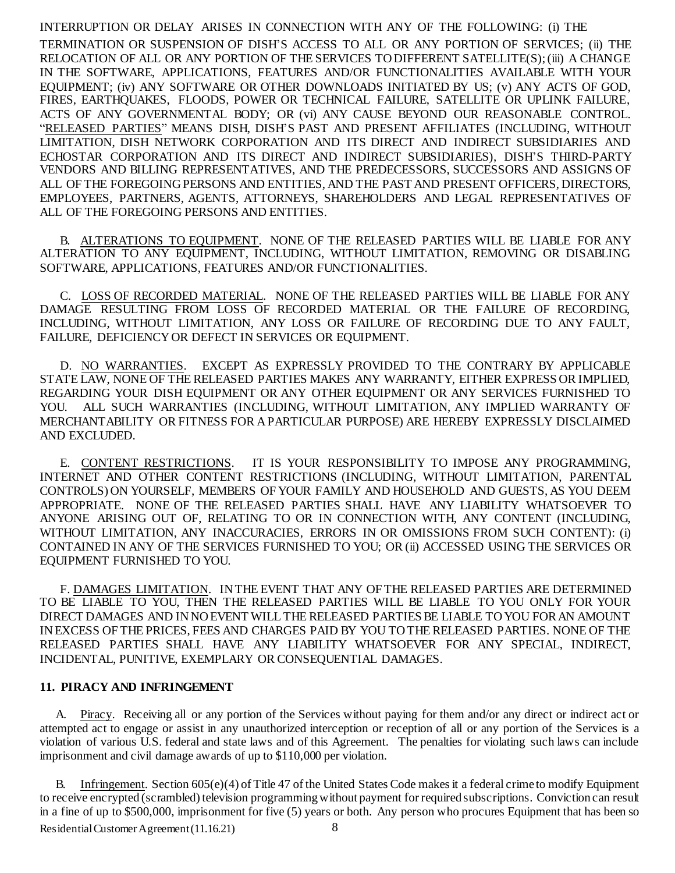#### INTERRUPTION OR DELAY ARISES IN CONNECTION WITH ANY OF THE FOLLOWING: (i) THE

TERMINATION OR SUSPENSION OF DISH'S ACCESS TO ALL OR ANY PORTION OF SERVICES; (ii) THE RELOCATION OF ALL OR ANY PORTION OF THE SERVICES TODIFFERENT SATELLITE(S);(iii) A CHANGE IN THE SOFTWARE, APPLICATIONS, FEATURES AND/OR FUNCTIONALITIES AVAILABLE WITH YOUR EQUIPMENT; (iv) ANY SOFTWARE OR OTHER DOWNLOADS INITIATED BY US; (v) ANY ACTS OF GOD, FIRES, EARTHQUAKES, FLOODS, POWER OR TECHNICAL FAILURE, SATELLITE OR UPLINK FAILURE, ACTS OF ANY GOVERNMENTAL BODY; OR (vi) ANY CAUSE BEYOND OUR REASONABLE CONTROL. "RELEASED PARTIES" MEANS DISH, DISH'S PAST AND PRESENT AFFILIATES (INCLUDING, WITHOUT LIMITATION, DISH NETWORK CORPORATION AND ITS DIRECT AND INDIRECT SUBSIDIARIES AND ECHOSTAR CORPORATION AND ITS DIRECT AND INDIRECT SUBSIDIARIES), DISH'S THIRD-PARTY VENDORS AND BILLING REPRESENTATIVES, AND THE PREDECESSORS, SUCCESSORS AND ASSIGNS OF ALL OF THE FOREGOING PERSONS AND ENTITIES, AND THE PAST AND PRESENT OFFICERS, DIRECTORS, EMPLOYEES, PARTNERS, AGENTS, ATTORNEYS, SHAREHOLDERS AND LEGAL REPRESENTATIVES OF ALL OF THE FOREGOING PERSONS AND ENTITIES.

B. ALTERATIONS TO EQUIPMENT. NONE OF THE RELEASED PARTIES WILL BE LIABLE FOR ANY ALTERATION TO ANY EQUIPMENT, INCLUDING, WITHOUT LIMITATION, REMOVING OR DISABLING SOFTWARE, APPLICATIONS, FEATURES AND/OR FUNCTIONALITIES.

C. LOSS OF RECORDED MATERIAL. NONE OF THE RELEASED PARTIES WILL BE LIABLE FOR ANY DAMAGE RESULTING FROM LOSS OF RECORDED MATERIAL OR THE FAILURE OF RECORDING, INCLUDING, WITHOUT LIMITATION, ANY LOSS OR FAILURE OF RECORDING DUE TO ANY FAULT, FAILURE, DEFICIENCYOR DEFECT IN SERVICES OR EQUIPMENT.

D. NO WARRANTIES. EXCEPT AS EXPRESSLY PROVIDED TO THE CONTRARY BY APPLICABLE STATE LAW, NONE OF THE RELEASED PARTIES MAKES ANY WARRANTY, EITHER EXPRESS OR IMPLIED, REGARDING YOUR DISH EQUIPMENT OR ANY OTHER EQUIPMENT OR ANY SERVICES FURNISHED TO YOU. ALL SUCH WARRANTIES (INCLUDING, WITHOUT LIMITATION, ANY IMPLIED WARRANTY OF MERCHANTABILITY OR FITNESS FOR A PARTICULAR PURPOSE) ARE HEREBY EXPRESSLY DISCLAIMED AND EXCLUDED.

E. CONTENT RESTRICTIONS. IT IS YOUR RESPONSIBILITY TO IMPOSE ANY PROGRAMMING, INTERNET AND OTHER CONTENT RESTRICTIONS (INCLUDING, WITHOUT LIMITATION, PARENTAL CONTROLS) ON YOURSELF, MEMBERS OF YOUR FAMILY AND HOUSEHOLD AND GUESTS, AS YOU DEEM APPROPRIATE. NONE OF THE RELEASED PARTIES SHALL HAVE ANY LIABILITY WHATSOEVER TO ANYONE ARISING OUT OF, RELATING TO OR IN CONNECTION WITH, ANY CONTENT (INCLUDING, WITHOUT LIMITATION, ANY INACCURACIES, ERRORS IN OR OMISSIONS FROM SUCH CONTENT): (i) CONTAINED IN ANY OF THE SERVICES FURNISHED TO YOU; OR (ii) ACCESSED USING THE SERVICES OR EQUIPMENT FURNISHED TO YOU.

F. DAMAGES LIMITATION. IN THE EVENT THAT ANY OF THE RELEASED PARTIES ARE DETERMINED TO BE LIABLE TO YOU, THEN THE RELEASED PARTIES WILL BE LIABLE TO YOU ONLY FOR YOUR DIRECT DAMAGES AND IN NO EVENT WILL THE RELEASED PARTIES BE LIABLE TO YOU FOR AN AMOUNT INEXCESS OF THE PRICES, FEES AND CHARGES PAID BY YOU TOTHE RELEASED PARTIES. NONE OF THE RELEASED PARTIES SHALL HAVE ANY LIABILITY WHATSOEVER FOR ANY SPECIAL, INDIRECT, INCIDENTAL, PUNITIVE, EXEMPLARY OR CONSEQUENTIAL DAMAGES.

#### **11. PIRACY AND INFRINGEMENT**

A. Piracy. Receiving all or any portion of the Services without paying for them and/or any direct or indirect act or attempted act to engage or assist in any unauthorized interception or reception of all or any portion of the Services is a violation of various U.S. federal and state laws and of this Agreement. The penalties for violating such laws can include imprisonment and civil damage awards of up to \$110,000 per violation.

Residential Customer Agreement (11.16.21) 8 Infringement. Section 605(e)(4) of Title 47 of the United States Code makes it a federal crime to modify Equipment to receive encrypted (scrambled) television programming without payment for required subscriptions. Conviction can result in a fine of up to \$500,000, imprisonment for five (5) years or both. Any person who procures Equipment that has been so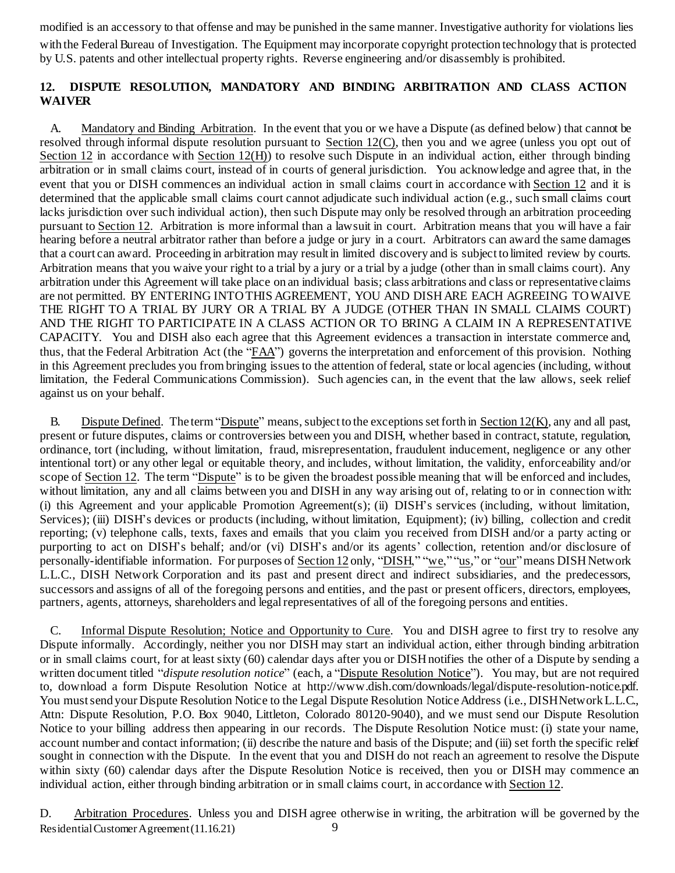modified is an accessory to that offense and may be punished in the same manner. Investigative authority for violations lies

with the Federal Bureau of Investigation. The Equipment may incorporate copyright protection technology that is protected by U.S. patents and other intellectual property rights. Reverse engineering and/or disassembly is prohibited.

# **12. DISPUTE RESOLUTION, MANDATORY AND BINDING ARBITRATION AND CLASS ACTION WAIVER**

A. Mandatory and Binding Arbitration. In the event that you or we have a Dispute (as defined below) that cannot be resolved through informal dispute resolution pursuant to Section 12(C), then you and we agree (unless you opt out of Section 12 in accordance with Section 12(H)) to resolve such Dispute in an individual action, either through binding arbitration or in small claims court, instead of in courts of general jurisdiction. You acknowledge and agree that, in the event that you or DISH commences an individual action in small claims court in accordance with Section 12 and it is determined that the applicable small claims court cannot adjudicate such individual action (e.g., such small claims court lacks jurisdiction over such individual action), then such Dispute may only be resolved through an arbitration proceeding pursuant to Section 12. Arbitration is more informal than a lawsuit in court. Arbitration means that you will have a fair hearing before a neutral arbitrator rather than before a judge or jury in a court. Arbitrators can award the same damages that a court can award. Proceeding in arbitration may result in limited discovery and is subject to limited review by courts. Arbitration means that you waive your right to a trial by a jury or a trial by a judge (other than in small claims court). Any arbitration under this Agreement will take place on an individual basis; class arbitrations and class or representative claims are not permitted. BY ENTERING INTOTHIS AGREEMENT, YOU AND DISHARE EACH AGREEING TOWAIVE THE RIGHT TO A TRIAL BY JURY OR A TRIAL BY A JUDGE (OTHER THAN IN SMALL CLAIMS COURT) AND THE RIGHT TO PARTICIPATE IN A CLASS ACTION OR TO BRING A CLAIM IN A REPRESENTATIVE CAPACITY. You and DISH also each agree that this Agreement evidences a transaction in interstate commerce and, thus, that the Federal Arbitration Act (the "FAA") governs the interpretation and enforcement of this provision. Nothing in this Agreement precludes you frombringing issuesto the attention of federal, state or local agencies (including, without limitation, the Federal Communications Commission). Such agencies can, in the event that the law allows, seek relief against us on your behalf.

B. Dispute Defined. The term "Dispute" means, subject to the exceptions set forth in Section 12(K), any and all past, present or future disputes, claims or controversies between you and DISH, whether based in contract, statute, regulation, ordinance, tort (including, without limitation, fraud, misrepresentation, fraudulent inducement, negligence or any other intentional tort) or any other legal or equitable theory, and includes, without limitation, the validity, enforceability and/or scope of Section 12. The term "Dispute" is to be given the broadest possible meaning that will be enforced and includes, without limitation, any and all claims between you and DISH in any way arising out of, relating to or in connection with: (i) this Agreement and your applicable Promotion Agreement(s); (ii) DISH's services (including, without limitation, Services); (iii) DISH's devices or products (including, without limitation, Equipment); (iv) billing, collection and credit reporting; (v) telephone calls, texts, faxes and emails that you claim you received from DISH and/or a party acting or purporting to act on DISH's behalf; and/or (vi) DISH's and/or its agents' collection, retention and/or disclosure of personally-identifiable information. For purposes of Section 12 only, "DISH," "we," "us," or "our"means DISHNetwork L.L.C., DISH Network Corporation and its past and present direct and indirect subsidiaries, and the predecessors, successors and assigns of all of the foregoing persons and entities, and the past or present officers, directors, employees, partners, agents, attorneys, shareholders and legal representatives of all of the foregoing persons and entities.

C. Informal Dispute Resolution; Notice and Opportunity to Cure. You and DISH agree to first try to resolve any Dispute informally. Accordingly, neither you nor DISH may start an individual action, either through binding arbitration or in small claims court, for at least sixty (60) calendar days after you or DISHnotifies the other of a Dispute by sending a written document titled "*dispute resolution notice*" (each, a "Dispute Resolution Notice"). You may, but are not required to, download a form Dispute Resolution Notice at [http://www.dish.com/downloads/legal/dispute-resolution-notice.pdf.](http://www.dish.com/downloads/legal/dispute-resolution-notice.pdf) You must send your Dispute Resolution Notice to the Legal Dispute Resolution Notice Address (i.e., DISHNetwork L.L.C., Attn: Dispute Resolution, P.O. Box 9040, Littleton, Colorado 80120-9040), and we must send our Dispute Resolution Notice to your billing address then appearing in our records. The Dispute Resolution Notice must: (i) state your name, account number and contact information; (ii) describe the nature and basis of the Dispute; and (iii) set forth the specific relief sought in connection with the Dispute. In the event that you and DISH do not reach an agreement to resolve the Dispute within sixty (60) calendar days after the Dispute Resolution Notice is received, then you or DISH may commence an individual action, either through binding arbitration or in small claims court, in accordance with Section 12.

Residential Customer Agreement (11.16.21) 9 D. Arbitration Procedures. Unless you and DISH agree otherwise in writing, the arbitration will be governed by the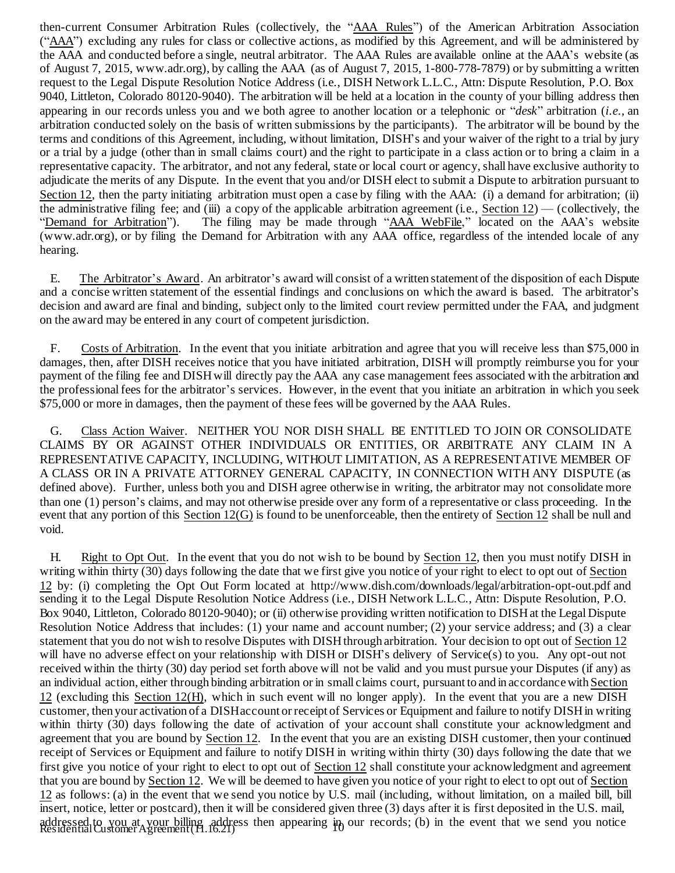then-current Consumer Arbitration Rules (collectively, the "AAA Rules") of the American Arbitration Association ("AAA") excluding any rules for class or collective actions, as modified by this Agreement, and will be administered by the AAA and conducted before a single, neutral arbitrator. The AAA Rules are available online at the AAA's website (as of August 7, 2015, www.adr.org), by calling the AAA (as of August 7, 2015, 1-800-778-7879) or by submitting a written request to the Legal Dispute Resolution Notice Address (i.e., DISH Network L.L.C., Attn: Dispute Resolution, P.O. Box 9040, Littleton, Colorado 80120-9040). The arbitration will be held at a location in the county of your billing address then appearing in our records unless you and we both agree to another location or a telephonic or "*desk*" arbitration (*i.e*., an arbitration conducted solely on the basis of written submissions by the participants). The arbitrator will be bound by the terms and conditions of this Agreement, including, without limitation, DISH's and your waiver of the right to a trial by jury or a trial by a judge (other than in small claims court) and the right to participate in a class action or to bring a claim in a representative capacity. The arbitrator, and not any federal, state or local court or agency, shall have exclusive authority to adjudicate the merits of any Dispute. In the event that you and/or DISH elect to submit a Dispute to arbitration pursuant to Section 12, then the party initiating arbitration must open a case by filing with the AAA: (i) a demand for arbitration; (ii) the administrative filing fee; and (iii) a copy of the applicable arbitration agreement (i.e., Section 12) — (collectively, the "Demand for Arbitration"). The filing may be made through "AAA WebFile," located on the AAA's The filing may be made through "AAA WebFile," located on the AAA's website [\(www.adr.org](http://www.adr.org/)), or by filing the Demand for Arbitration with any AAA office, regardless of the intended locale of any hearing.

E. The Arbitrator's Award. An arbitrator's award will consist of a written statement of the disposition of each Dispute and a concise written statement of the essential findings and conclusions on which the award is based. The arbitrator's decision and award are final and binding, subject only to the limited court review permitted under the FAA, and judgment on the award may be entered in any court of competent jurisdiction.

F. Costs of Arbitration. In the event that you initiate arbitration and agree that you will receive less than \$75,000 in damages, then, after DISH receives notice that you have initiated arbitration, DISH will promptly reimburse you for your payment of the filing fee and DISHwill directly pay the AAA any case management fees associated with the arbitration and the professionalfees for the arbitrator's services. However, in the event that you initiate an arbitration in which you seek \$75,000 or more in damages, then the payment of these fees will be governed by the AAA Rules.

G. Class Action Waiver. NEITHER YOU NOR DISH SHALL BE ENTITLED TO JOIN OR CONSOLIDATE CLAIMS BY OR AGAINST OTHER INDIVIDUALS OR ENTITIES, OR ARBITRATE ANY CLAIM IN A REPRESENTATIVE CAPACITY, INCLUDING, WITHOUT LIMITATION, AS A REPRESENTATIVE MEMBER OF A CLASS OR IN A PRIVATE ATTORNEY GENERAL CAPACITY, IN CONNECTION WITH ANY DISPUTE (as defined above). Further, unless both you and DISH agree otherwise in writing, the arbitrator may not consolidate more than one (1) person's claims, and may not otherwise preside over any form of a representative or class proceeding. In the event that any portion of this  $Section 12(G)$  is found to be unenforceable, then the entirety of Section 12 shall be null and void.

addressed to you at your billing address then appearing in our records; (b) in the event that we send you notice<br>Residential Customer Agreement (H.16.21) H. Right to Opt Out. In the event that you do not wish to be bound by Section 12, then you must notify DISH in writing within thirty (30) days following the date that we first give you notice of your right to elect to opt out of Section 12 by: (i) completing the Opt Out Form located at <http://www.dish.com/downloads/legal/arbitration-opt-out.pdf> and sending it to the Legal Dispute Resolution Notice Address (i.e., DISH Network L.L.C., Attn: Dispute Resolution, P.O. Box 9040, Littleton, Colorado 80120-9040); or (ii) otherwise providing written notification to DISH at the Legal Dispute Resolution Notice Address that includes: (1) your name and account number; (2) your service address; and (3) a clear statement that you do not wish to resolve Disputes with DISH through arbitration. Your decision to opt out of Section 12 will have no adverse effect on your relationship with DISH or DISH's delivery of Service(s) to you. Any opt-out not received within the thirty (30) day period set forth above will not be valid and you must pursue your Disputes (if any) as an individual action, either through binding arbitration or in small claims court, pursuant to and in accordancewith Section 12 (excluding this Section 12(H), which in such event will no longer apply). In the event that you are a new DISH customer, then your activation of a DISHaccount or receipt of Services or Equipment and failure to notify DISHin writing within thirty (30) days following the date of activation of your account shall constitute your acknowledgment and agreement that you are bound by Section 12. In the event that you are an existing DISH customer, then your continued receipt of Services or Equipment and failure to notify DISH in writing within thirty (30) days following the date that we first give you notice of your right to elect to opt out of Section 12 shall constitute your acknowledgment and agreement that you are bound by Section 12. We will be deemed to have given you notice of your right to elect to opt out of Section 12 as follows: (a) in the event that we send you notice by U.S. mail (including, without limitation, on a mailed bill, bill insert, notice, letter or postcard), then it will be considered given three (3) days after it is first deposited in the U.S. mail,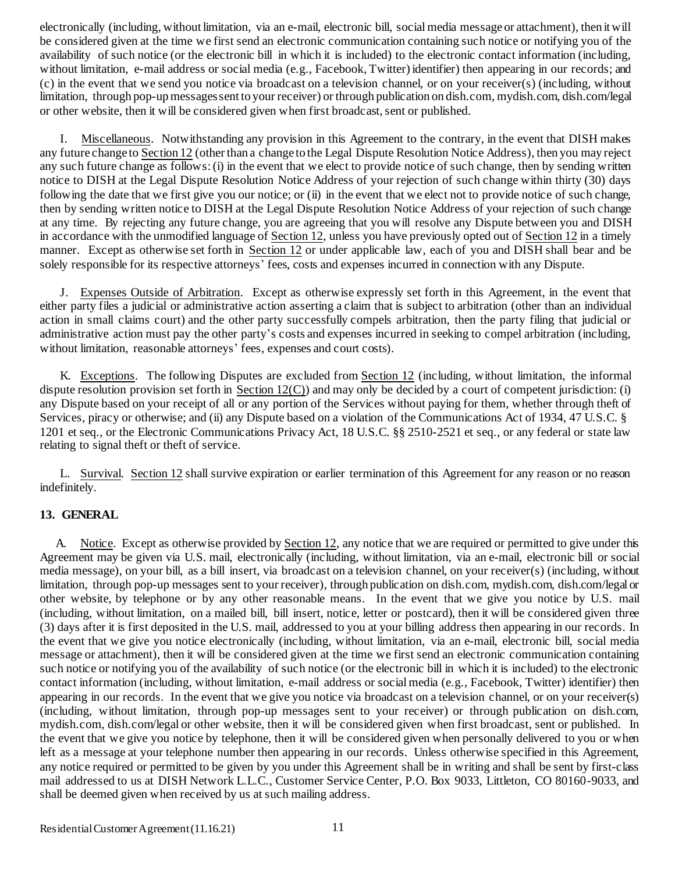electronically (including, without limitation, via an e-mail, electronic bill, social media message or attachment), then it will be considered given at the time we first send an electronic communication containing such notice or notifying you of the availability of such notice (or the electronic bill in which it is included) to the electronic contact information (including, without limitation, e-mail address or social media (e.g., Facebook, Twitter) identifier) then appearing in our records; and (c) in the event that we send you notice via broadcast on a television channel, or on your receiver(s) (including, without limitation, through pop-upmessagessent to your receiver) or through publication on dish.com, mydish.com, dish.com/legal or other website, then it will be considered given when first broadcast, sent or published.

I. Miscellaneous. Notwithstanding any provision in this Agreement to the contrary, in the event that DISH makes any future change to Section 12 (other than a change to the Legal Dispute Resolution Notice Address), then you may reject any such future change as follows:(i) in the event that we elect to provide notice of such change, then by sending written notice to DISH at the Legal Dispute Resolution Notice Address of your rejection of such change within thirty (30) days following the date that we first give you our notice; or (ii) in the event that we elect not to provide notice of such change, then by sending written notice to DISH at the Legal Dispute Resolution Notice Address of your rejection of such change at any time. By rejecting any future change, you are agreeing that you will resolve any Dispute between you and DISH in accordance with the unmodified language of Section 12, unless you have previously opted out of Section 12 in a timely manner. Except as otherwise set forth in Section 12 or under applicable law, each of you and DISH shall bear and be solely responsible for its respective attorneys' fees, costs and expenses incurred in connection with any Dispute.

J. Expenses Outside of Arbitration. Except as otherwise expressly set forth in this Agreement, in the event that either party files a judicial or administrative action asserting a claim that is subject to arbitration (other than an individual action in small claims court) and the other party successfully compels arbitration, then the party filing that judicial or administrative action must pay the other party's costs and expenses incurred in seeking to compel arbitration (including, without limitation, reasonable attorneys' fees, expenses and court costs).

K. Exceptions. The following Disputes are excluded from Section 12 (including, without limitation, the informal dispute resolution provision set forth in Section  $12(C)$ ) and may only be decided by a court of competent jurisdiction: (i) any Dispute based on your receipt of all or any portion of the Services without paying for them, whether through theft of Services, piracy or otherwise; and (ii) any Dispute based on a violation of the Communications Act of 1934, 47 U.S.C. § 1201 et seq., or the Electronic Communications Privacy Act, 18 U.S.C. §§ 2510-2521 et seq., or any federal or state law relating to signal theft or theft of service.

L. Survival. Section 12 shall survive expiration or earlier termination of this Agreement for any reason or no reason indefinitely.

#### **13. GENERAL**

A. Notice. Except as otherwise provided by Section 12, any notice that we are required or permitted to give under this Agreement may be given via U.S. mail, electronically (including, without limitation, via an e-mail, electronic bill or social media message), on your bill, as a bill insert, via broadcast on a television channel, on your receiver(s) (including, without limitation, through pop-up messages sent to your receiver), through publication on dish.com, mydish.com, dish.com/legal or other website, by telephone or by any other reasonable means. In the event that we give you notice by U.S. mail (including, without limitation, on a mailed bill, bill insert, notice, letter or postcard), then it will be considered given three (3) days after it is first deposited in the U.S. mail, addressed to you at your billing address then appearing in our records. In the event that we give you notice electronically (including, without limitation, via an e-mail, electronic bill, social media message or attachment), then it will be considered given at the time we first send an electronic communication containing such notice or notifying you of the availability of such notice (or the electronic bill in which it is included) to the electronic contact information (including, without limitation, e-mail address or socialmedia (e.g., Facebook, Twitter) identifier) then appearing in our records. In the event that we give you notice via broadcast on a television channel, or on your receiver(s) (including, without limitation, through pop-up messages sent to your receiver) or through publication on dish.com, mydish.com, dish.com/legal or other website, then it will be considered given when first broadcast, sent or published. In the event that we give you notice by telephone, then it will be considered given when personally delivered to you or when left as a message at your telephone number then appearing in our records. Unless otherwise specified in this Agreement, any notice required or permitted to be given by you under this Agreement shall be in writing and shall be sent by first-class mail addressed to us at DISH Network L.L.C., Customer Service Center, P.O. Box 9033, Littleton, CO 80160-9033, and shall be deemed given when received by us at such mailing address.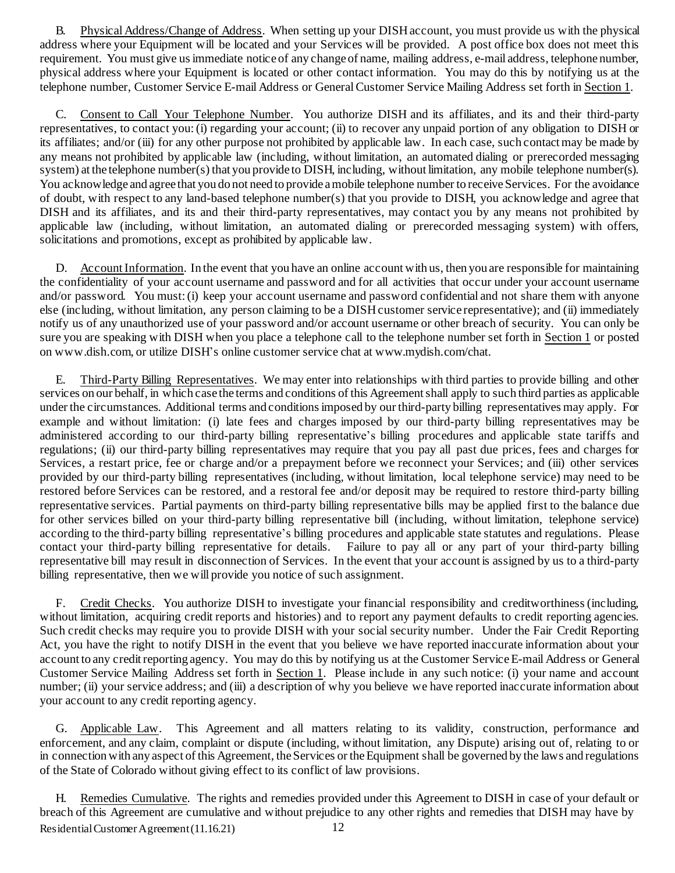B. Physical Address/Change of Address. When setting up your DISHaccount, you must provide us with the physical address where your Equipment will be located and your Services will be provided. A post office box does not meet this requirement. You must give usimmediate notice of any change of name, mailing address, e-mail address, telephone number, physical address where your Equipment is located or other contact information. You may do this by notifying us at the telephone number, Customer Service E-mail Address or GeneralCustomer Service Mailing Address set forth in Section 1.

C. Consent to Call Your Telephone Number. You authorize DISH and its affiliates, and its and their third-party representatives, to contact you:(i) regarding your account; (ii) to recover any unpaid portion of any obligation to DISH or its affiliates; and/or (iii) for any other purpose not prohibited by applicable law. In each case, such contactmay be made by any means not prohibited by applicable law (including, without limitation, an automated dialing or prerecorded messaging system) at the telephone number(s) that you provide to DISH, including, without limitation, any mobile telephone number(s). You acknowledge and agree that you do not need to provide a mobile telephone number to receive Services. For the avoidance of doubt, with respect to any land-based telephone number(s) that you provide to DISH, you acknowledge and agree that DISH and its affiliates, and its and their third-party representatives, may contact you by any means not prohibited by applicable law (including, without limitation, an automated dialing or prerecorded messaging system) with offers, solicitations and promotions, except as prohibited by applicable law.

D. Account Information. In the event that you have an online account with us, then you are responsible for maintaining the confidentiality of your account username and password and for all activities that occur under your account username and/or password. You must:(i) keep your account username and password confidential and not share them with anyone else (including, without limitation, any person claiming to be a DISH customer service representative); and (ii) immediately notify us of any unauthorized use of your password and/or account username or other breach of security. You can only be sure you are speaking with DISH when you place a telephone call to the telephone number set forth in Section 1 or poste[d](https://dishnetworkmail.com/pub/cc?_ri_=X0Gzc2X%3DWQpglLjHJlTQGt4DNgRgYEh2okmSXC4zfRtXUbmugJzbmg8W1jXTGVXtpKX%3DSBBCTT&_ei_=EtmTp5hzljt8DdiK7nrDGjqOxsKFPnoaFS8Hgrpwrd3QPVmuVuY0rDuOUloLfXZzLj-yZiC_rimQB71IBH3LM7VqthU) [on www.dish.com](https://dishnetworkmail.com/pub/cc?_ri_=X0Gzc2X%3DWQpglLjHJlTQGt4DNgRgYEh2okmSXC4zfRtXUbmugJzbmg8W1jXTGVXtpKX%3DSBBCTT&_ei_=EtmTp5hzljt8DdiK7nrDGjqOxsKFPnoaFS8Hgrpwrd3QPVmuVuY0rDuOUloLfXZzLj-yZiC_rimQB71IBH3LM7VqthU), or utilize DISH's online customer service chat at [www.mydish.com/chat.](http://www.mydish.com/chat)

E. Third-Party Billing Representatives. We may enter into relationships with third parties to provide billing and other services on our behalf, in which case the terms and conditions of this Agreementshall apply to such third parties as applicable under the circumstances. Additional terms and conditionsimposed by our third-party billing representatives may apply. For example and without limitation: (i) late fees and charges imposed by our third-party billing representatives may be administered according to our third-party billing representative's billing procedures and applicable state tariffs and regulations; (ii) our third-party billing representatives may require that you pay all past due prices, fees and charges for Services, a restart price, fee or charge and/or a prepayment before we reconnect your Services; and (iii) other services provided by our third-party billing representatives (including, without limitation, local telephone service) may need to be restored before Services can be restored, and a restoral fee and/or deposit may be required to restore third-party billing representative services. Partial payments on third-party billing representative bills may be applied first to the balance due for other services billed on your third-party billing representative bill (including, without limitation, telephone service) according to the third-party billing representative's billing procedures and applicable state statutes and regulations. Please contact your third-party billing representative for details. Failure to pay all or any part of your third-party billing representative bill may result in disconnection of Services. In the event that your account is assigned by us to a third-party billing representative, then we will provide you notice of such assignment.

F. Credit Checks. You authorize DISH to investigate your financial responsibility and creditworthiness(including, without limitation, acquiring credit reports and histories) and to report any payment defaults to credit reporting agencies. Such credit checks may require you to provide DISH with your social security number. Under the Fair Credit Reporting Act, you have the right to notify DISH in the event that you believe we have reported inaccurate information about your account to any credit reporting agency. You may do this by notifying us at the Customer Service E-mail Address or General Customer Service Mailing Address set forth in Section 1. Please include in any such notice: (i) your name and account number; (ii) your service address; and (iii) a description of why you believe we have reported inaccurate information about your account to any credit reporting agency.

G. Applicable Law. This Agreement and all matters relating to its validity, construction, performance and enforcement, and any claim, complaint or dispute (including, without limitation, any Dispute) arising out of, relating to or in connection with any aspect of this Agreement, theServices or theEquipment shall be governed by the laws and regulations of the State of Colorado without giving effect to its conflict of law provisions.

Residential Customer Agreement (11.16.21) 12 H. Remedies Cumulative. The rights and remedies provided under this Agreement to DISH in case of your default or breach of this Agreement are cumulative and without prejudice to any other rights and remedies that DISH may have by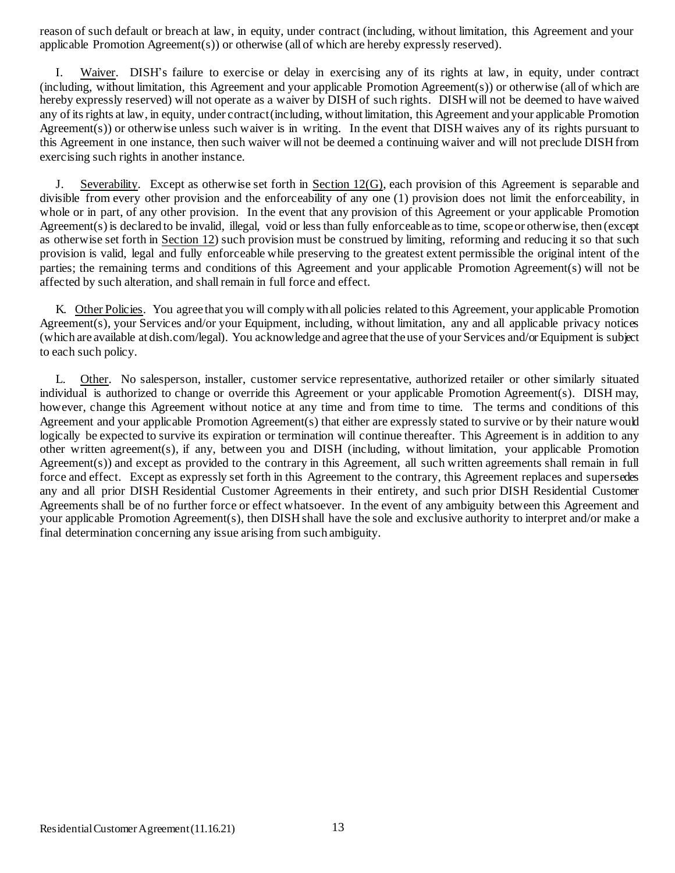reason of such default or breach at law, in equity, under contract (including, without limitation, this Agreement and your applicable Promotion Agreement(s)) or otherwise (all of which are hereby expressly reserved).

I. Waiver. DISH's failure to exercise or delay in exercising any of its rights at law, in equity, under contract (including, without limitation, this Agreement and your applicable Promotion Agreement(s)) or otherwise (all of which are hereby expressly reserved) will not operate as a waiver by DISH of such rights. DISHwill not be deemed to have waived any of itsrights at law, in equity, under contract(including, without limitation, this Agreement and your applicable Promotion Agreement(s)) or otherwise unless such waiver is in writing. In the event that DISH waives any of its rights pursuant to this Agreement in one instance, then such waiver will not be deemed a continuing waiver and will not preclude DISHfrom exercising such rights in another instance.

Severability. Except as otherwise set forth in Section  $12(G)$ , each provision of this Agreement is separable and divisible from every other provision and the enforceability of any one (1) provision does not limit the enforceability, in whole or in part, of any other provision. In the event that any provision of this Agreement or your applicable Promotion Agreement(s) is declared to be invalid, illegal, void or lessthan fully enforceable asto time, scope or otherwise, then (except as otherwise set forth in Section 12) such provision must be construed by limiting, reforming and reducing it so that such provision is valid, legal and fully enforceable while preserving to the greatest extent permissible the original intent of the parties; the remaining terms and conditions of this Agreement and your applicable Promotion Agreement(s) will not be affected by such alteration, and shall remain in full force and effect.

K. Other Policies. You agree that you will complywith all policies related to this Agreement, your applicable Promotion Agreement(s), your Services and/or your Equipment, including, without limitation, any and all applicable privacy notices (which are available at dish.com/legal). You acknowledge and agree that the use of your Services and/or Equipment is subject to each such policy.

L. Other. No salesperson, installer, customer service representative, authorized retailer or other similarly situated individual is authorized to change or override this Agreement or your applicable Promotion Agreement(s). DISH may, however, change this Agreement without notice at any time and from time to time. The terms and conditions of this Agreement and your applicable Promotion Agreement(s) that either are expressly stated to survive or by their nature would logically be expected to survive its expiration or termination will continue thereafter. This Agreement is in addition to any other written agreement(s), if any, between you and DISH (including, without limitation, your applicable Promotion Agreement(s)) and except as provided to the contrary in this Agreement, all such written agreements shall remain in full force and effect. Except as expressly set forth in this Agreement to the contrary, this Agreement replaces and supersedes any and all prior DISH Residential Customer Agreements in their entirety, and such prior DISH Residential Customer Agreements shall be of no further force or effect whatsoever. In the event of any ambiguity between this Agreement and your applicable Promotion Agreement(s), then DISHshall have the sole and exclusive authority to interpret and/or make a final determination concerning any issue arising from such ambiguity.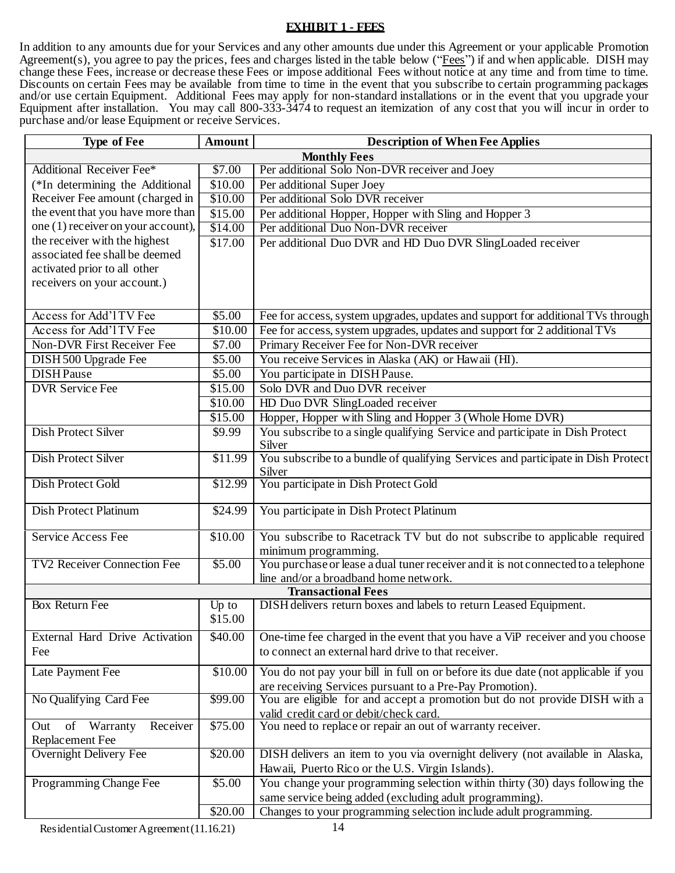### **EXHIBIT 1 - FEES**

In addition to any amounts due for your Services and any other amounts due under this Agreement or your applicable Promotion Agreement(s), you agree to pay the prices, fees and charges listed in the table below ("Fees") if and when applicable. DISH may change these Fees, increase or decrease these Fees or impose additional Fees without notice at any time and from time to time. Discounts on certain Fees may be available from time to time in the event that you subscribe to certain programming packages and/or use certain Equipment. Additional Fees may apply for non-standard installations or in the event that you upgrade your Equipment after installation. You may call 800-333-3474 to request an itemization of any cost that you will incur in order to purchase and/or lease Equipment or receive Services.

| <b>Type of Fee</b>                               | Amount  | <b>Description of When Fee Applies</b>                                                                                            |
|--------------------------------------------------|---------|-----------------------------------------------------------------------------------------------------------------------------------|
|                                                  |         | <b>Monthly Fees</b>                                                                                                               |
| <b>Additional Receiver Fee*</b>                  | \$7.00  | Per additional Solo Non-DVR receiver and Joey                                                                                     |
| (*In determining the Additional                  | \$10.00 | Per additional Super Joey                                                                                                         |
| Receiver Fee amount (charged in                  | \$10.00 | Per additional Solo DVR receiver                                                                                                  |
| the event that you have more than                | \$15.00 | Per additional Hopper, Hopper with Sling and Hopper 3                                                                             |
| one (1) receiver on your account),               | \$14.00 | Per additional Duo Non-DVR receiver                                                                                               |
| the receiver with the highest                    | \$17.00 | Per additional Duo DVR and HD Duo DVR SlingLoaded receiver                                                                        |
| associated fee shall be deemed                   |         |                                                                                                                                   |
| activated prior to all other                     |         |                                                                                                                                   |
| receivers on your account.)                      |         |                                                                                                                                   |
|                                                  |         |                                                                                                                                   |
| Access for Add'l TV Fee                          | \$5.00  | Fee for access, system upgrades, updates and support for additional TVs through                                                   |
| Access for Add'l TV Fee                          | \$10.00 | Fee for access, system upgrades, updates and support for 2 additional TVs                                                         |
| <b>Non-DVR First Receiver Fee</b>                | \$7.00  | Primary Receiver Fee for Non-DVR receiver                                                                                         |
| DISH 500 Upgrade Fee                             | \$5.00  | You receive Services in Alaska (AK) or Hawaii (HI).                                                                               |
| <b>DISHPause</b>                                 | \$5.00  | You participate in DISH Pause.                                                                                                    |
| <b>DVR Service Fee</b>                           | \$15.00 | Solo DVR and Duo DVR receiver                                                                                                     |
|                                                  | \$10.00 | HD Duo DVR SlingLoaded receiver                                                                                                   |
|                                                  | \$15.00 | Hopper, Hopper with Sling and Hopper 3 (Whole Home DVR)                                                                           |
| <b>Dish Protect Silver</b>                       | \$9.99  | You subscribe to a single qualifying Service and participate in Dish Protect                                                      |
|                                                  |         | Silver                                                                                                                            |
| Dish Protect Silver                              | \$11.99 | You subscribe to a bundle of qualifying Services and participate in Dish Protect                                                  |
|                                                  |         | Silver                                                                                                                            |
| <b>Dish Protect Gold</b>                         | \$12.99 | You participate in Dish Protect Gold                                                                                              |
|                                                  |         |                                                                                                                                   |
| <b>Dish Protect Platinum</b>                     | \$24.99 | You participate in Dish Protect Platinum                                                                                          |
| Service Access Fee                               | \$10.00 | You subscribe to Racetrack TV but do not subscribe to applicable required                                                         |
|                                                  |         | minimum programming.                                                                                                              |
| <b>TV2 Receiver Connection Fee</b>               | \$5.00  | You purchase or lease a dual tuner receiver and it is not connected to a telephone                                                |
|                                                  |         | line and/or a broadband home network.                                                                                             |
| <b>Transactional Fees</b>                        |         |                                                                                                                                   |
| <b>Box Return Fee</b>                            | Up to   | DISH delivers return boxes and labels to return Leased Equipment.                                                                 |
|                                                  | \$15.00 |                                                                                                                                   |
| External Hard Drive Activation                   | \$40.00 | One-time fee charged in the event that you have a ViP receiver and you choose                                                     |
| Fee                                              |         | to connect an external hard drive to that receiver.                                                                               |
|                                                  |         |                                                                                                                                   |
| Late Payment Fee                                 | \$10.00 | You do not pay your bill in full on or before its due date (not applicable if you                                                 |
|                                                  |         | are receiving Services pursuant to a Pre-Pay Promotion).                                                                          |
| No Qualifying Card Fee                           | \$99.00 | You are eligible for and accept a promotion but do not provide DISH with a                                                        |
|                                                  |         | valid credit card or debit/check card.                                                                                            |
| of Warranty<br>Receiver<br>Out                   | \$75.00 | You need to replace or repair an out of warranty receiver.                                                                        |
| Replacement Fee<br><b>Overnight Delivery Fee</b> | \$20.00 |                                                                                                                                   |
|                                                  |         | DISH delivers an item to you via overnight delivery (not available in Alaska,<br>Hawaii, Puerto Rico or the U.S. Virgin Islands). |
|                                                  |         |                                                                                                                                   |
| Programming Change Fee                           | \$5.00  | You change your programming selection within thirty (30) days following the                                                       |
|                                                  |         | same service being added (excluding adult programming).                                                                           |
|                                                  | \$20.00 | Changes to your programming selection include adult programming.                                                                  |

Residential Customer Agreement (11.16.21) 14